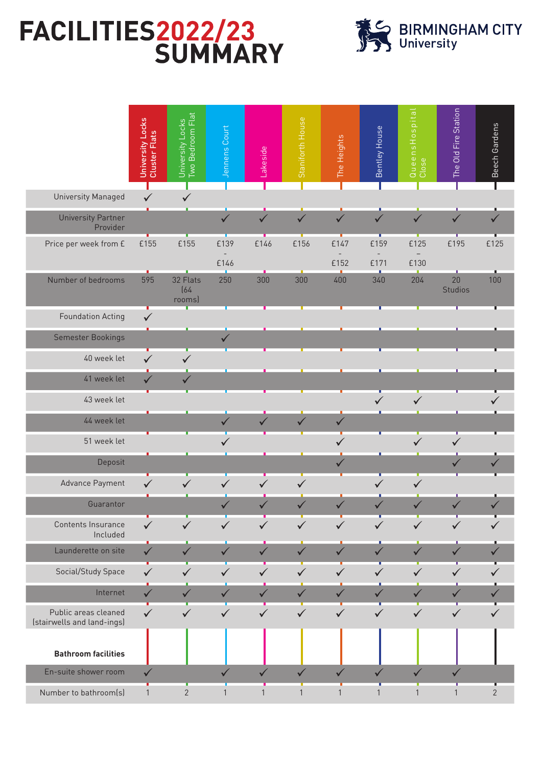## FACILITIES2022/23<br>SUMMARY



|                                                    | University Locks<br>Cluster Flats | <b>Two Bedroom Flat</b><br>University Locks | Jennens Court          | Lakeside     | Staniforth House | The Heights  | Bentley House                    | QueensHospital<br>Close          | The Old Fire Station | Beech Gardens  |
|----------------------------------------------------|-----------------------------------|---------------------------------------------|------------------------|--------------|------------------|--------------|----------------------------------|----------------------------------|----------------------|----------------|
| University Managed                                 | $\checkmark$                      | $\checkmark$                                |                        |              |                  |              |                                  |                                  |                      |                |
| <b>University Partner</b><br>Provider              |                                   |                                             | $\checkmark$           | $\checkmark$ | $\checkmark$     | $\checkmark$ | $\checkmark$                     | $\checkmark$                     | $\checkmark$         | ✓              |
| Price per week from £                              | £155                              | £155                                        | £139<br>$\overline{a}$ | £146         | £156             | £147         | £159<br>$\overline{\phantom{a}}$ | £125<br>$\overline{\phantom{a}}$ | £195                 | £125           |
|                                                    |                                   |                                             | £146                   |              |                  | £152         | £171                             | £130                             |                      |                |
| Number of bedrooms                                 | 595                               | 32 Flats<br>[64<br>rooms)                   | 250                    | 300          | 300              | 400          | 340                              | 204                              | 20<br><b>Studios</b> | 100            |
| <b>Foundation Acting</b>                           | $\checkmark$                      |                                             |                        |              |                  |              |                                  |                                  |                      |                |
| <b>Semester Bookings</b>                           |                                   |                                             |                        |              |                  |              |                                  |                                  |                      |                |
| 40 week let                                        | $\checkmark$                      | $\checkmark$                                |                        |              |                  |              |                                  |                                  |                      |                |
| 41 week let                                        | $\checkmark$                      | ✓                                           |                        |              |                  |              |                                  |                                  |                      |                |
| 43 week let                                        |                                   |                                             |                        |              |                  |              | ✓                                |                                  |                      |                |
| 44 week let                                        |                                   |                                             | $\checkmark$           | $\checkmark$ | $\checkmark$     | $\checkmark$ |                                  |                                  |                      |                |
| 51 week let                                        |                                   |                                             |                        |              |                  |              |                                  |                                  |                      |                |
| Deposit                                            |                                   |                                             |                        |              |                  |              |                                  |                                  |                      |                |
| Advance Payment                                    | $\checkmark$                      | $\checkmark$                                | $\checkmark$           | ✓            | $\checkmark$     |              |                                  | ✓                                |                      |                |
| Guarantor                                          |                                   |                                             |                        |              |                  |              |                                  |                                  |                      |                |
| Contents Insurance<br>Included                     | $\checkmark$                      |                                             |                        |              |                  |              |                                  |                                  |                      |                |
| Launderette on site                                | $\checkmark$                      |                                             | ✓                      | ✓            | ✓                |              |                                  | $\checkmark$                     | ✓                    |                |
| Social/Study Space                                 | $\checkmark$                      | $\checkmark$                                |                        | ✓            |                  |              |                                  |                                  |                      |                |
| Internet                                           | $\checkmark$                      | $\checkmark$                                | ✓                      | $\checkmark$ | $\checkmark$     | ✓            | ✓                                | ✓                                | ✓                    |                |
| Public areas cleaned<br>(stairwells and land-ings) | $\checkmark$                      | $\checkmark$                                | $\checkmark$           | $\checkmark$ | $\checkmark$     | $\checkmark$ | $\checkmark$                     | $\checkmark$                     | $\checkmark$         |                |
| <b>Bathroom facilities</b>                         |                                   |                                             |                        |              |                  |              |                                  |                                  |                      |                |
| En-suite shower room                               | $\checkmark$                      |                                             | $\checkmark$           | $\checkmark$ | $\checkmark$     | $\checkmark$ | $\checkmark$                     | $\checkmark$                     | $\checkmark$         |                |
| Number to bathroom(s)                              | $\mathbf{1}$                      | $\overline{2}$                              | $\mathbf{1}$           | $\mathbf{1}$ | 1                | $\mathbf{1}$ | $\mathbf{1}$                     | $\mathbf{1}$                     | $\mathbf{1}$         | $\overline{2}$ |